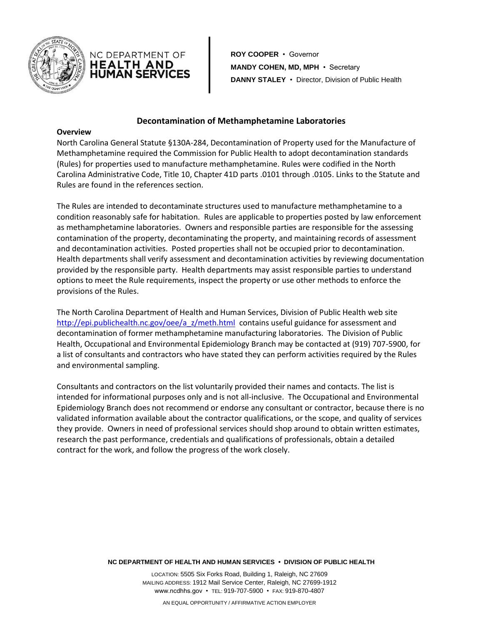



**ROY COOPER** • Governor **MANDY COHEN, MD, MPH** • Secretary **DANNY STALEY** • Director, Division of Public Health

## **Decontamination of Methamphetamine Laboratories**

#### **Overview**

North Carolina General Statute §130A-284, Decontamination of Property used for the Manufacture of Methamphetamine required the Commission for Public Health to adopt decontamination standards (Rules) for properties used to manufacture methamphetamine. Rules were codified in the North Carolina Administrative Code, Title 10, Chapter 41D parts .0101 through .0105. Links to the Statute and Rules are found in the references section.

The Rules are intended to decontaminate structures used to manufacture methamphetamine to a condition reasonably safe for habitation. Rules are applicable to properties posted by law enforcement as methamphetamine laboratories. Owners and responsible parties are responsible for the assessing contamination of the property, decontaminating the property, and maintaining records of assessment and decontamination activities. Posted properties shall not be occupied prior to decontamination. Health departments shall verify assessment and decontamination activities by reviewing documentation provided by the responsible party. Health departments may assist responsible parties to understand options to meet the Rule requirements, inspect the property or use other methods to enforce the provisions of the Rules.

The North Carolina Department of Health and Human Services, Division of Public Health web site [http://epi.publichealth.nc.gov/oee/a\\_z/meth.html](http://epi.publichealth.nc.gov/oee/a_z/meth.html) contains useful guidance for assessment and decontamination of former methamphetamine manufacturing laboratories. The Division of Public Health, Occupational and Environmental Epidemiology Branch may be contacted at (919) 707-5900, for a list of consultants and contractors who have stated they can perform activities required by the Rules and environmental sampling.

Consultants and contractors on the list voluntarily provided their names and contacts. The list is intended for informational purposes only and is not all-inclusive. The Occupational and Environmental Epidemiology Branch does not recommend or endorse any consultant or contractor, because there is no validated information available about the contractor qualifications, or the scope, and quality of services they provide. Owners in need of professional services should shop around to obtain written estimates, research the past performance, credentials and qualifications of professionals, obtain a detailed contract for the work, and follow the progress of the work closely.

#### **NC DEPARTMENT OF HEALTH AND HUMAN SERVICES • DIVISION OF PUBLIC HEALTH**

LOCATION: 5505 Six Forks Road, Building 1, Raleigh, NC 27609 MAILING ADDRESS: 1912 Mail Service Center, Raleigh, NC 27699-1912 www.ncdhhs.gov • TEL: 919-707-5900 • FAX: 919-870-4807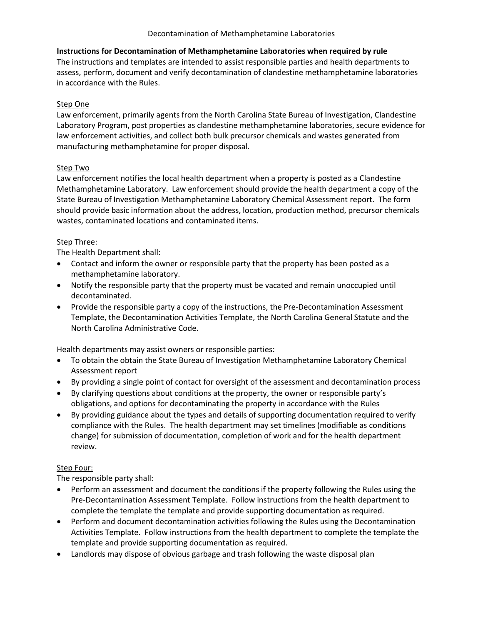## Decontamination of Methamphetamine Laboratories

# **Instructions for Decontamination of Methamphetamine Laboratories when required by rule** The instructions and templates are intended to assist responsible parties and health departments to assess, perform, document and verify decontamination of clandestine methamphetamine laboratories in accordance with the Rules.

## Step One

Law enforcement, primarily agents from the North Carolina State Bureau of Investigation, Clandestine Laboratory Program, post properties as clandestine methamphetamine laboratories, secure evidence for law enforcement activities, and collect both bulk precursor chemicals and wastes generated from manufacturing methamphetamine for proper disposal.

## Step Two

Law enforcement notifies the local health department when a property is posted as a Clandestine Methamphetamine Laboratory. Law enforcement should provide the health department a copy of the State Bureau of Investigation Methamphetamine Laboratory Chemical Assessment report. The form should provide basic information about the address, location, production method, precursor chemicals wastes, contaminated locations and contaminated items.

## Step Three:

The Health Department shall:

- Contact and inform the owner or responsible party that the property has been posted as a methamphetamine laboratory.
- Notify the responsible party that the property must be vacated and remain unoccupied until decontaminated.
- Provide the responsible party a copy of the instructions, the Pre-Decontamination Assessment Template, the Decontamination Activities Template, the North Carolina General Statute and the North Carolina Administrative Code.

Health departments may assist owners or responsible parties:

- To obtain the obtain the State Bureau of Investigation Methamphetamine Laboratory Chemical Assessment report
- By providing a single point of contact for oversight of the assessment and decontamination process
- By clarifying questions about conditions at the property, the owner or responsible party's obligations, and options for decontaminating the property in accordance with the Rules
- By providing guidance about the types and details of supporting documentation required to verify compliance with the Rules. The health department may set timelines (modifiable as conditions change) for submission of documentation, completion of work and for the health department review.

## Step Four:

The responsible party shall:

- Perform an assessment and document the conditions if the property following the Rules using the Pre-Decontamination Assessment Template. Follow instructions from the health department to complete the template the template and provide supporting documentation as required.
- Perform and document decontamination activities following the Rules using the Decontamination Activities Template. Follow instructions from the health department to complete the template the template and provide supporting documentation as required.
- Landlords may dispose of obvious garbage and trash following the waste disposal plan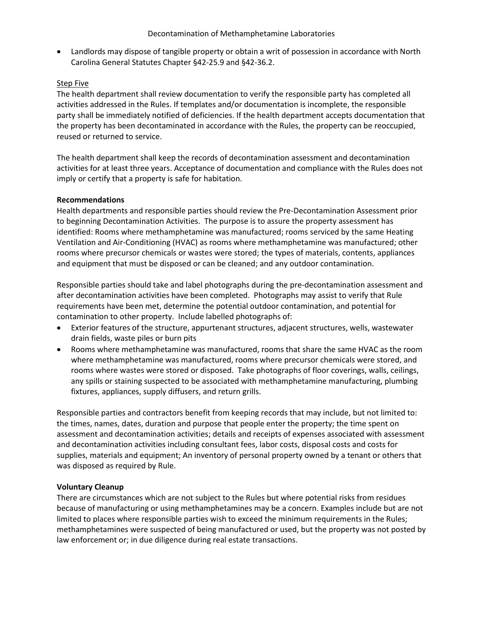Landlords may dispose of tangible property or obtain a writ of possession in accordance with North Carolina General Statutes Chapter §42-25.9 and §42-36.2.

#### Step Five

The health department shall review documentation to verify the responsible party has completed all activities addressed in the Rules. If templates and/or documentation is incomplete, the responsible party shall be immediately notified of deficiencies. If the health department accepts documentation that the property has been decontaminated in accordance with the Rules, the property can be reoccupied, reused or returned to service.

The health department shall keep the records of decontamination assessment and decontamination activities for at least three years. Acceptance of documentation and compliance with the Rules does not imply or certify that a property is safe for habitation.

## **Recommendations**

Health departments and responsible parties should review the Pre-Decontamination Assessment prior to beginning Decontamination Activities. The purpose is to assure the property assessment has identified: Rooms where methamphetamine was manufactured; rooms serviced by the same Heating Ventilation and Air-Conditioning (HVAC) as rooms where methamphetamine was manufactured; other rooms where precursor chemicals or wastes were stored; the types of materials, contents, appliances and equipment that must be disposed or can be cleaned; and any outdoor contamination.

Responsible parties should take and label photographs during the pre-decontamination assessment and after decontamination activities have been completed. Photographs may assist to verify that Rule requirements have been met, determine the potential outdoor contamination, and potential for contamination to other property. Include labelled photographs of:

- Exterior features of the structure, appurtenant structures, adjacent structures, wells, wastewater drain fields, waste piles or burn pits
- Rooms where methamphetamine was manufactured, rooms that share the same HVAC as the room where methamphetamine was manufactured, rooms where precursor chemicals were stored, and rooms where wastes were stored or disposed. Take photographs of floor coverings, walls, ceilings, any spills or staining suspected to be associated with methamphetamine manufacturing, plumbing fixtures, appliances, supply diffusers, and return grills.

Responsible parties and contractors benefit from keeping records that may include, but not limited to: the times, names, dates, duration and purpose that people enter the property; the time spent on assessment and decontamination activities; details and receipts of expenses associated with assessment and decontamination activities including consultant fees, labor costs, disposal costs and costs for supplies, materials and equipment; An inventory of personal property owned by a tenant or others that was disposed as required by Rule.

#### **Voluntary Cleanup**

There are circumstances which are not subject to the Rules but where potential risks from residues because of manufacturing or using methamphetamines may be a concern. Examples include but are not limited to places where responsible parties wish to exceed the minimum requirements in the Rules; methamphetamines were suspected of being manufactured or used, but the property was not posted by law enforcement or; in due diligence during real estate transactions.